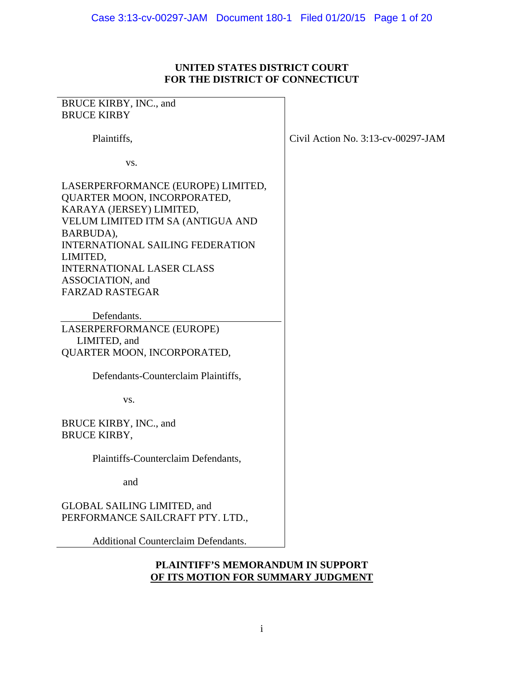## **UNITED STATES DISTRICT COURT FOR THE DISTRICT OF CONNECTICUT**

| BRUCE KIRBY, INC., and                                                                                                                                                                                                                                                                   |                                       |
|------------------------------------------------------------------------------------------------------------------------------------------------------------------------------------------------------------------------------------------------------------------------------------------|---------------------------------------|
| <b>BRUCE KIRBY</b>                                                                                                                                                                                                                                                                       |                                       |
| Plaintiffs,                                                                                                                                                                                                                                                                              | Civil Action No. $3:13$ -cv-00297-JAM |
| VS.                                                                                                                                                                                                                                                                                      |                                       |
| LASERPERFORMANCE (EUROPE) LIMITED,<br>QUARTER MOON, INCORPORATED,<br>KARAYA (JERSEY) LIMITED,<br>VELUM LIMITED ITM SA (ANTIGUA AND<br>BARBUDA),<br><b>INTERNATIONAL SAILING FEDERATION</b><br>LIMITED,<br><b>INTERNATIONAL LASER CLASS</b><br>ASSOCIATION, and<br><b>FARZAD RASTEGAR</b> |                                       |
|                                                                                                                                                                                                                                                                                          |                                       |
| Defendants.                                                                                                                                                                                                                                                                              |                                       |
| LASERPERFORMANCE (EUROPE)<br>LIMITED, and                                                                                                                                                                                                                                                |                                       |
| QUARTER MOON, INCORPORATED,                                                                                                                                                                                                                                                              |                                       |
| Defendants-Counterclaim Plaintiffs,                                                                                                                                                                                                                                                      |                                       |
| VS.                                                                                                                                                                                                                                                                                      |                                       |
| BRUCE KIRBY, INC., and<br><b>BRUCE KIRBY,</b>                                                                                                                                                                                                                                            |                                       |
| Plaintiffs-Counterclaim Defendants,                                                                                                                                                                                                                                                      |                                       |
| and                                                                                                                                                                                                                                                                                      |                                       |
| <b>GLOBAL SAILING LIMITED, and</b><br>PERFORMANCE SAILCRAFT PTY. LTD.,                                                                                                                                                                                                                   |                                       |
| <b>Additional Counterclaim Defendants.</b>                                                                                                                                                                                                                                               |                                       |

## **PLAINTIFF'S MEMORANDUM IN SUPPORT OF ITS MOTION FOR SUMMARY JUDGMENT**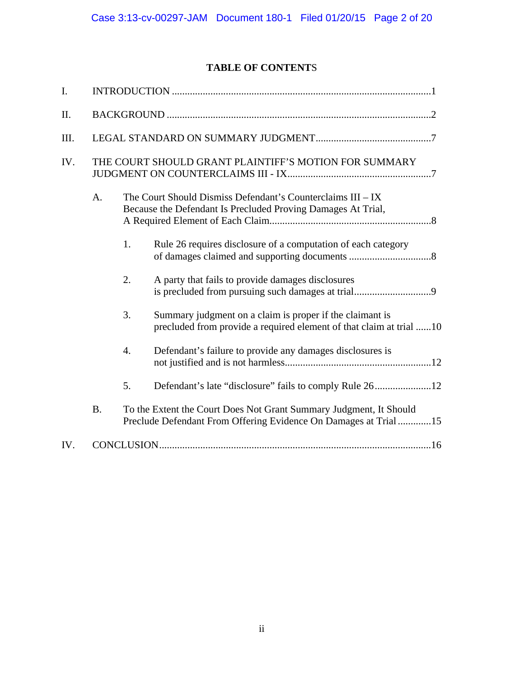# **TABLE OF CONTENT**S

| I.  |           |                  |                                                                                                                                       |  |
|-----|-----------|------------------|---------------------------------------------------------------------------------------------------------------------------------------|--|
| II. |           |                  |                                                                                                                                       |  |
| Ш.  |           |                  |                                                                                                                                       |  |
| IV. |           |                  | THE COURT SHOULD GRANT PLAINTIFF'S MOTION FOR SUMMARY                                                                                 |  |
|     | A.        |                  | The Court Should Dismiss Defendant's Counterclaims III – IX<br>Because the Defendant Is Precluded Proving Damages At Trial,           |  |
|     |           | 1.               | Rule 26 requires disclosure of a computation of each category                                                                         |  |
|     |           | 2.               | A party that fails to provide damages disclosures                                                                                     |  |
|     |           | 3.               | Summary judgment on a claim is proper if the claimant is<br>precluded from provide a required element of that claim at trial 10       |  |
|     |           | $\overline{4}$ . | Defendant's failure to provide any damages disclosures is                                                                             |  |
|     |           | 5.               |                                                                                                                                       |  |
|     | <b>B.</b> |                  | To the Extent the Court Does Not Grant Summary Judgment, It Should<br>Preclude Defendant From Offering Evidence On Damages at Trial15 |  |
| IV. |           |                  |                                                                                                                                       |  |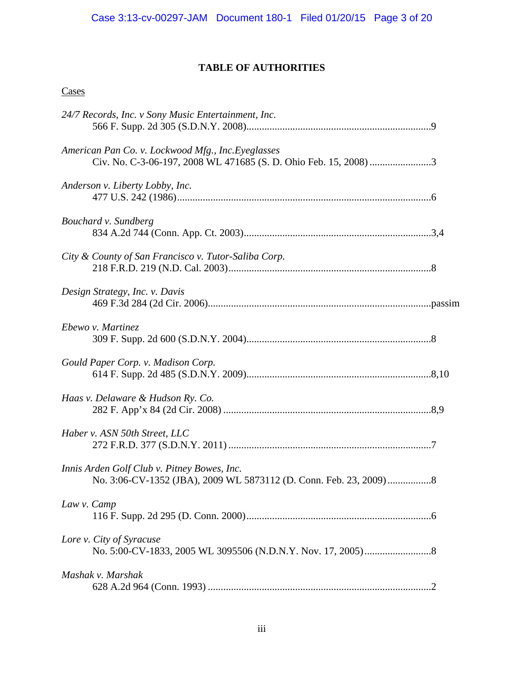# **TABLE OF AUTHORITIES**

# **Cases**

| 24/7 Records, Inc. v Sony Music Entertainment, Inc.  |  |
|------------------------------------------------------|--|
| American Pan Co. v. Lockwood Mfg., Inc. Eyeglasses   |  |
| Anderson v. Liberty Lobby, Inc.                      |  |
| Bouchard v. Sundberg                                 |  |
| City & County of San Francisco v. Tutor-Saliba Corp. |  |
| Design Strategy, Inc. v. Davis                       |  |
| Ebewo v. Martinez                                    |  |
| Gould Paper Corp. v. Madison Corp.                   |  |
| Haas v. Delaware & Hudson Ry. Co.                    |  |
| Haber v. ASN 50th Street, LLC                        |  |
| Innis Arden Golf Club v. Pitney Bowes, Inc.          |  |
| Law v. Camp                                          |  |
| Lore v. City of Syracuse                             |  |
| Mashak v. Marshak                                    |  |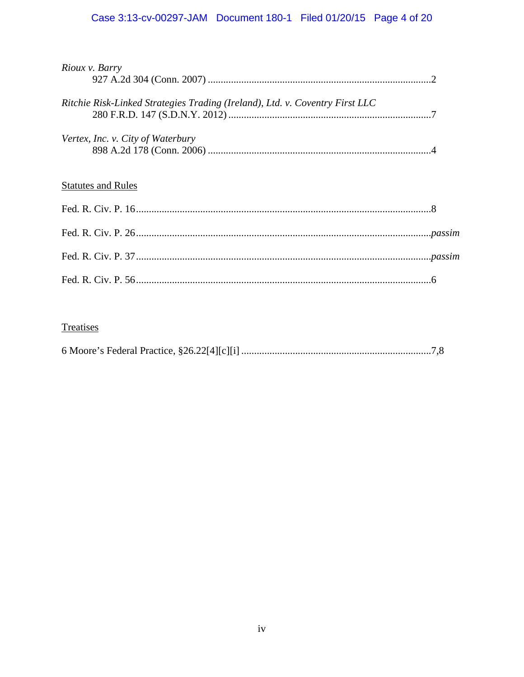# Case 3:13-cv-00297-JAM Document 180-1 Filed 01/20/15 Page 4 of 20

| Rioux v. Barry                                                               |  |
|------------------------------------------------------------------------------|--|
| Ritchie Risk-Linked Strategies Trading (Ireland), Ltd. v. Coventry First LLC |  |
| Vertex, Inc. v. City of Waterbury                                            |  |
| <b>Statutes and Rules</b>                                                    |  |
|                                                                              |  |
|                                                                              |  |
|                                                                              |  |
|                                                                              |  |

# Treatises

|--|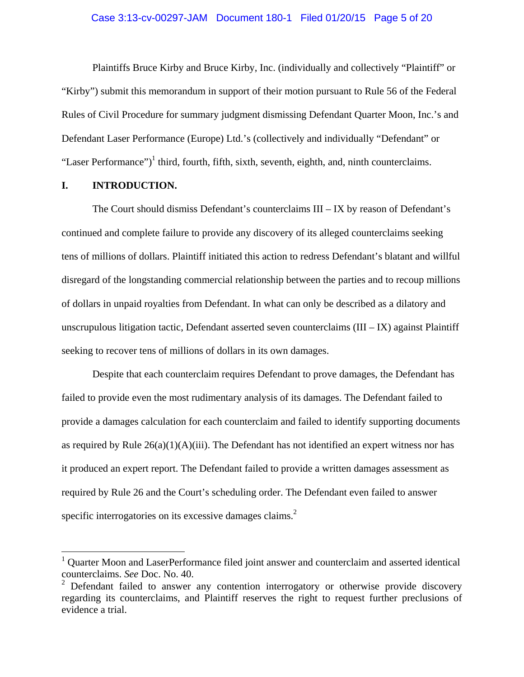#### Case 3:13-cv-00297-JAM Document 180-1 Filed 01/20/15 Page 5 of 20

Plaintiffs Bruce Kirby and Bruce Kirby, Inc. (individually and collectively "Plaintiff" or "Kirby") submit this memorandum in support of their motion pursuant to Rule 56 of the Federal Rules of Civil Procedure for summary judgment dismissing Defendant Quarter Moon, Inc.'s and Defendant Laser Performance (Europe) Ltd.'s (collectively and individually "Defendant" or "Laser Performance")<sup>1</sup> third, fourth, fifth, sixth, seventh, eighth, and, ninth counterclaims.

## **I. INTRODUCTION.**

 $\overline{a}$ 

 The Court should dismiss Defendant's counterclaims III – IX by reason of Defendant's continued and complete failure to provide any discovery of its alleged counterclaims seeking tens of millions of dollars. Plaintiff initiated this action to redress Defendant's blatant and willful disregard of the longstanding commercial relationship between the parties and to recoup millions of dollars in unpaid royalties from Defendant. In what can only be described as a dilatory and unscrupulous litigation tactic, Defendant asserted seven counterclaims  $(III - IX)$  against Plaintiff seeking to recover tens of millions of dollars in its own damages.

 Despite that each counterclaim requires Defendant to prove damages, the Defendant has failed to provide even the most rudimentary analysis of its damages. The Defendant failed to provide a damages calculation for each counterclaim and failed to identify supporting documents as required by Rule  $26(a)(1)(A)(iii)$ . The Defendant has not identified an expert witness nor has it produced an expert report. The Defendant failed to provide a written damages assessment as required by Rule 26 and the Court's scheduling order. The Defendant even failed to answer specific interrogatories on its excessive damages claims.<sup>2</sup>

<sup>1</sup> Quarter Moon and LaserPerformance filed joint answer and counterclaim and asserted identical counterclaims. *See* Doc. No. 40. 2

Defendant failed to answer any contention interrogatory or otherwise provide discovery regarding its counterclaims, and Plaintiff reserves the right to request further preclusions of evidence a trial.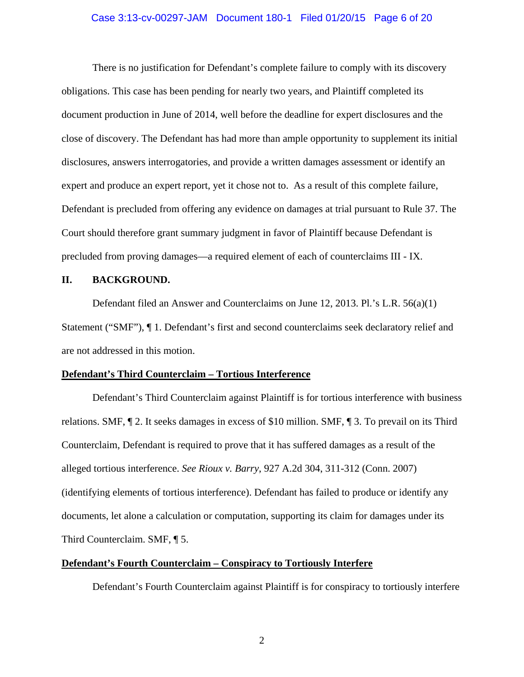## Case 3:13-cv-00297-JAM Document 180-1 Filed 01/20/15 Page 6 of 20

 There is no justification for Defendant's complete failure to comply with its discovery obligations. This case has been pending for nearly two years, and Plaintiff completed its document production in June of 2014, well before the deadline for expert disclosures and the close of discovery. The Defendant has had more than ample opportunity to supplement its initial disclosures, answers interrogatories, and provide a written damages assessment or identify an expert and produce an expert report, yet it chose not to. As a result of this complete failure, Defendant is precluded from offering any evidence on damages at trial pursuant to Rule 37. The Court should therefore grant summary judgment in favor of Plaintiff because Defendant is precluded from proving damages—a required element of each of counterclaims III - IX.

## **II. BACKGROUND.**

 Defendant filed an Answer and Counterclaims on June 12, 2013. Pl.'s L.R. 56(a)(1) Statement ("SMF"), ¶ 1. Defendant's first and second counterclaims seek declaratory relief and are not addressed in this motion.

#### **Defendant's Third Counterclaim – Tortious Interference**

 Defendant's Third Counterclaim against Plaintiff is for tortious interference with business relations. SMF, ¶ 2. It seeks damages in excess of \$10 million. SMF, ¶ 3. To prevail on its Third Counterclaim, Defendant is required to prove that it has suffered damages as a result of the alleged tortious interference. *See Rioux v. Barry*, 927 A.2d 304, 311-312 (Conn. 2007) (identifying elements of tortious interference). Defendant has failed to produce or identify any documents, let alone a calculation or computation, supporting its claim for damages under its Third Counterclaim. SMF, ¶ 5.

## **Defendant's Fourth Counterclaim – Conspiracy to Tortiously Interfere**

Defendant's Fourth Counterclaim against Plaintiff is for conspiracy to tortiously interfere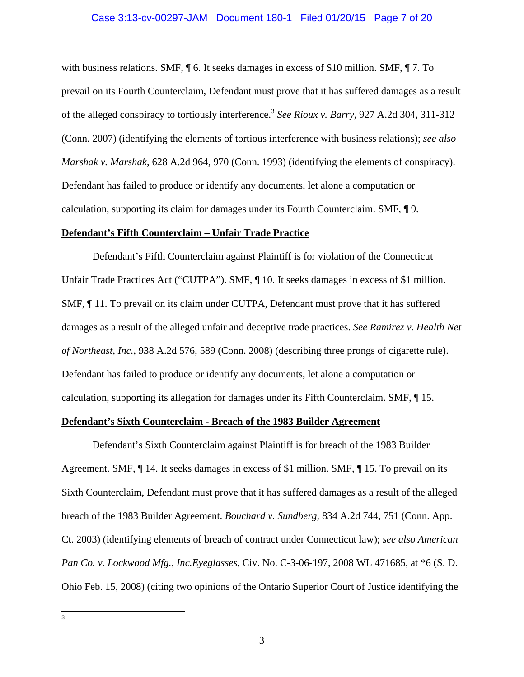### Case 3:13-cv-00297-JAM Document 180-1 Filed 01/20/15 Page 7 of 20

with business relations. SMF,  $\P$  6. It seeks damages in excess of \$10 million. SMF,  $\P$  7. To prevail on its Fourth Counterclaim, Defendant must prove that it has suffered damages as a result of the alleged conspiracy to tortiously interference.3 *See Rioux v. Barry*, 927 A.2d 304, 311-312 (Conn. 2007) (identifying the elements of tortious interference with business relations); *see also Marshak v. Marshak*, 628 A.2d 964, 970 (Conn. 1993) (identifying the elements of conspiracy). Defendant has failed to produce or identify any documents, let alone a computation or calculation, supporting its claim for damages under its Fourth Counterclaim. SMF, ¶ 9.

## **Defendant's Fifth Counterclaim – Unfair Trade Practice**

 Defendant's Fifth Counterclaim against Plaintiff is for violation of the Connecticut Unfair Trade Practices Act ("CUTPA"). SMF, ¶ 10. It seeks damages in excess of \$1 million. SMF, ¶ 11. To prevail on its claim under CUTPA, Defendant must prove that it has suffered damages as a result of the alleged unfair and deceptive trade practices. *See Ramirez v. Health Net of Northeast, Inc.*, 938 A.2d 576, 589 (Conn. 2008) (describing three prongs of cigarette rule). Defendant has failed to produce or identify any documents, let alone a computation or calculation, supporting its allegation for damages under its Fifth Counterclaim. SMF, ¶ 15.

## **Defendant's Sixth Counterclaim - Breach of the 1983 Builder Agreement**

 Defendant's Sixth Counterclaim against Plaintiff is for breach of the 1983 Builder Agreement. SMF, ¶ 14. It seeks damages in excess of \$1 million. SMF, ¶ 15. To prevail on its Sixth Counterclaim, Defendant must prove that it has suffered damages as a result of the alleged breach of the 1983 Builder Agreement. *Bouchard v. Sundberg,* 834 A.2d 744, 751 (Conn. App. Ct. 2003) (identifying elements of breach of contract under Connecticut law); *see also American Pan Co. v. Lockwood Mfg., Inc.Eyeglasses*, Civ. No. C-3-06-197, 2008 WL 471685, at \*6 (S. D. Ohio Feb. 15, 2008) (citing two opinions of the Ontario Superior Court of Justice identifying the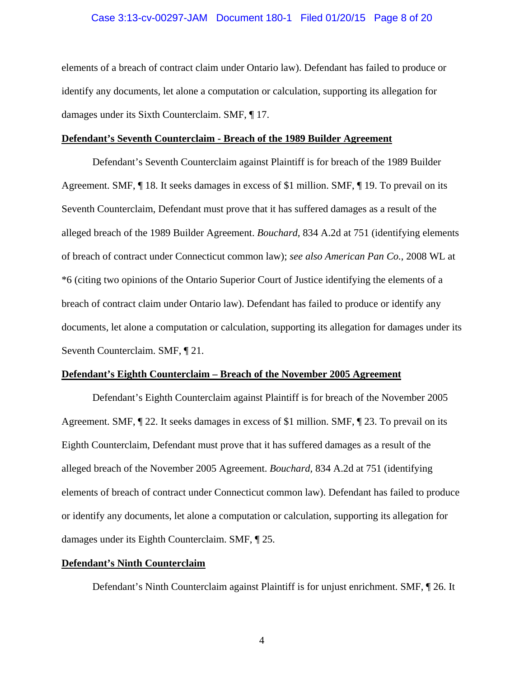### Case 3:13-cv-00297-JAM Document 180-1 Filed 01/20/15 Page 8 of 20

elements of a breach of contract claim under Ontario law). Defendant has failed to produce or identify any documents, let alone a computation or calculation, supporting its allegation for damages under its Sixth Counterclaim. SMF, ¶ 17.

#### **Defendant's Seventh Counterclaim - Breach of the 1989 Builder Agreement**

 Defendant's Seventh Counterclaim against Plaintiff is for breach of the 1989 Builder Agreement. SMF, ¶ 18. It seeks damages in excess of \$1 million. SMF, ¶ 19. To prevail on its Seventh Counterclaim, Defendant must prove that it has suffered damages as a result of the alleged breach of the 1989 Builder Agreement. *Bouchard,* 834 A.2d at 751 (identifying elements of breach of contract under Connecticut common law); *see also American Pan Co.*, 2008 WL at \*6 (citing two opinions of the Ontario Superior Court of Justice identifying the elements of a breach of contract claim under Ontario law). Defendant has failed to produce or identify any documents, let alone a computation or calculation, supporting its allegation for damages under its Seventh Counterclaim. SMF, ¶ 21.

### **Defendant's Eighth Counterclaim – Breach of the November 2005 Agreement**

 Defendant's Eighth Counterclaim against Plaintiff is for breach of the November 2005 Agreement. SMF, ¶ 22. It seeks damages in excess of \$1 million. SMF, ¶ 23. To prevail on its Eighth Counterclaim, Defendant must prove that it has suffered damages as a result of the alleged breach of the November 2005 Agreement. *Bouchard,* 834 A.2d at 751 (identifying elements of breach of contract under Connecticut common law). Defendant has failed to produce or identify any documents, let alone a computation or calculation, supporting its allegation for damages under its Eighth Counterclaim. SMF, ¶ 25.

## **Defendant's Ninth Counterclaim**

Defendant's Ninth Counterclaim against Plaintiff is for unjust enrichment. SMF, ¶ 26. It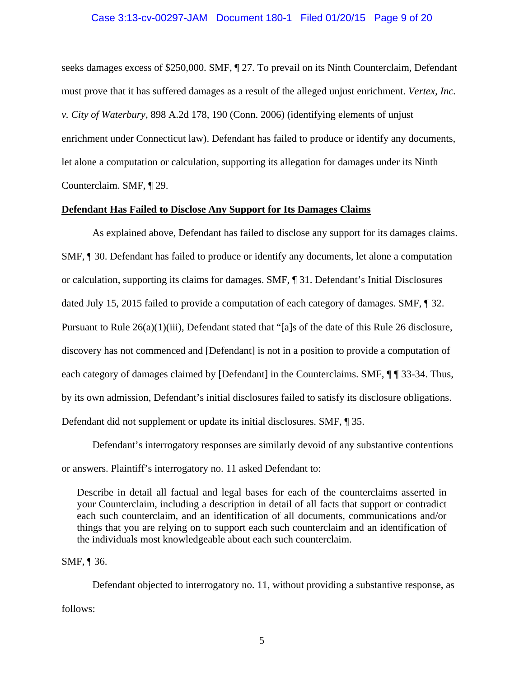#### Case 3:13-cv-00297-JAM Document 180-1 Filed 01/20/15 Page 9 of 20

seeks damages excess of \$250,000. SMF, ¶ 27. To prevail on its Ninth Counterclaim, Defendant must prove that it has suffered damages as a result of the alleged unjust enrichment. *Vertex, Inc. v. City of Waterbury*, 898 A.2d 178, 190 (Conn. 2006) (identifying elements of unjust enrichment under Connecticut law). Defendant has failed to produce or identify any documents, let alone a computation or calculation, supporting its allegation for damages under its Ninth Counterclaim. SMF, ¶ 29.

### **Defendant Has Failed to Disclose Any Support for Its Damages Claims**

 As explained above, Defendant has failed to disclose any support for its damages claims. SMF, ¶ 30. Defendant has failed to produce or identify any documents, let alone a computation or calculation, supporting its claims for damages. SMF, ¶ 31. Defendant's Initial Disclosures dated July 15, 2015 failed to provide a computation of each category of damages. SMF, ¶ 32. Pursuant to Rule 26(a)(1)(iii), Defendant stated that "[a]s of the date of this Rule 26 disclosure, discovery has not commenced and [Defendant] is not in a position to provide a computation of each category of damages claimed by [Defendant] in the Counterclaims. SMF,  $\P$   $\P$  33-34. Thus, by its own admission, Defendant's initial disclosures failed to satisfy its disclosure obligations. Defendant did not supplement or update its initial disclosures. SMF, ¶ 35.

 Defendant's interrogatory responses are similarly devoid of any substantive contentions or answers. Plaintiff's interrogatory no. 11 asked Defendant to:

Describe in detail all factual and legal bases for each of the counterclaims asserted in your Counterclaim, including a description in detail of all facts that support or contradict each such counterclaim, and an identification of all documents, communications and/or things that you are relying on to support each such counterclaim and an identification of the individuals most knowledgeable about each such counterclaim.

SMF, ¶ 36.

 Defendant objected to interrogatory no. 11, without providing a substantive response, as follows: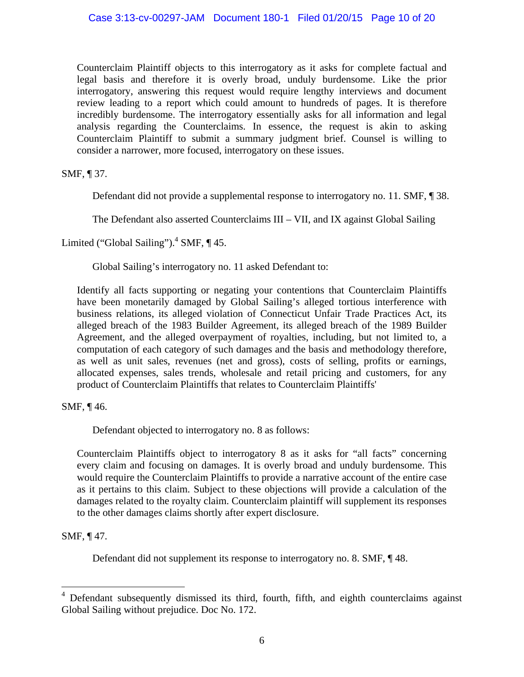Counterclaim Plaintiff objects to this interrogatory as it asks for complete factual and legal basis and therefore it is overly broad, unduly burdensome. Like the prior interrogatory, answering this request would require lengthy interviews and document review leading to a report which could amount to hundreds of pages. It is therefore incredibly burdensome. The interrogatory essentially asks for all information and legal analysis regarding the Counterclaims. In essence, the request is akin to asking Counterclaim Plaintiff to submit a summary judgment brief. Counsel is willing to consider a narrower, more focused, interrogatory on these issues.

SMF, ¶ 37.

Defendant did not provide a supplemental response to interrogatory no. 11. SMF, ¶ 38.

The Defendant also asserted Counterclaims III – VII, and IX against Global Sailing

Limited ("Global Sailing").<sup>4</sup> SMF,  $\P$  45.

Global Sailing's interrogatory no. 11 asked Defendant to:

Identify all facts supporting or negating your contentions that Counterclaim Plaintiffs have been monetarily damaged by Global Sailing's alleged tortious interference with business relations, its alleged violation of Connecticut Unfair Trade Practices Act, its alleged breach of the 1983 Builder Agreement, its alleged breach of the 1989 Builder Agreement, and the alleged overpayment of royalties, including, but not limited to, a computation of each category of such damages and the basis and methodology therefore, as well as unit sales, revenues (net and gross), costs of selling, profits or earnings, allocated expenses, sales trends, wholesale and retail pricing and customers, for any product of Counterclaim Plaintiffs that relates to Counterclaim Plaintiffs'

SMF, ¶ 46.

Defendant objected to interrogatory no. 8 as follows:

Counterclaim Plaintiffs object to interrogatory 8 as it asks for "all facts" concerning every claim and focusing on damages. It is overly broad and unduly burdensome. This would require the Counterclaim Plaintiffs to provide a narrative account of the entire case as it pertains to this claim. Subject to these objections will provide a calculation of the damages related to the royalty claim. Counterclaim plaintiff will supplement its responses to the other damages claims shortly after expert disclosure.

SMF, ¶ 47.

 $\overline{a}$ 

Defendant did not supplement its response to interrogatory no. 8. SMF, ¶ 48.

<sup>&</sup>lt;sup>4</sup> Defendant subsequently dismissed its third, fourth, fifth, and eighth counterclaims against Global Sailing without prejudice. Doc No. 172.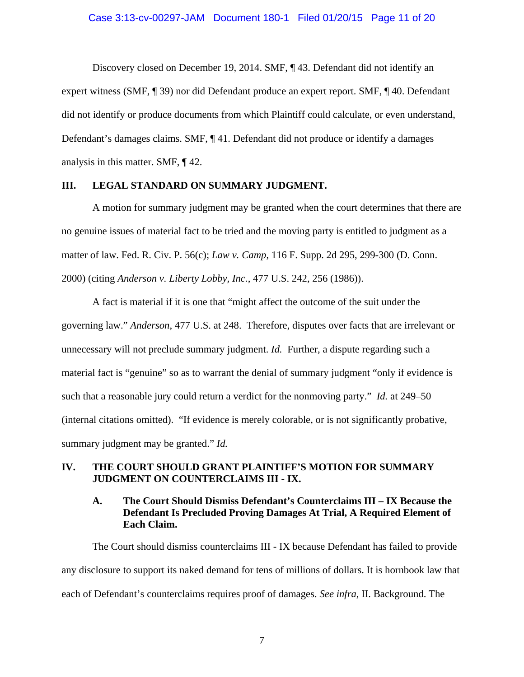Discovery closed on December 19, 2014. SMF, ¶ 43. Defendant did not identify an expert witness (SMF, ¶ 39) nor did Defendant produce an expert report. SMF, ¶ 40. Defendant did not identify or produce documents from which Plaintiff could calculate, or even understand, Defendant's damages claims. SMF, ¶ 41. Defendant did not produce or identify a damages analysis in this matter. SMF, ¶ 42.

## **III. LEGAL STANDARD ON SUMMARY JUDGMENT.**

A motion for summary judgment may be granted when the court determines that there are no genuine issues of material fact to be tried and the moving party is entitled to judgment as a matter of law. Fed. R. Civ. P. 56(c); *Law v. Camp*, 116 F. Supp. 2d 295, 299-300 (D. Conn. 2000) (citing *Anderson v. Liberty Lobby, Inc.*, 477 U.S. 242, 256 (1986)).

A fact is material if it is one that "might affect the outcome of the suit under the governing law." *Anderson*, 477 U.S. at 248. Therefore, disputes over facts that are irrelevant or unnecessary will not preclude summary judgment. *Id.* Further, a dispute regarding such a material fact is "genuine" so as to warrant the denial of summary judgment "only if evidence is such that a reasonable jury could return a verdict for the nonmoving party." *Id.* at 249–50 (internal citations omitted). "If evidence is merely colorable, or is not significantly probative, summary judgment may be granted." *Id.*

## **IV. THE COURT SHOULD GRANT PLAINTIFF'S MOTION FOR SUMMARY JUDGMENT ON COUNTERCLAIMS III - IX.**

## **A. The Court Should Dismiss Defendant's Counterclaims III – IX Because the Defendant Is Precluded Proving Damages At Trial, A Required Element of Each Claim.**

 The Court should dismiss counterclaims III - IX because Defendant has failed to provide any disclosure to support its naked demand for tens of millions of dollars. It is hornbook law that each of Defendant's counterclaims requires proof of damages. *See infra*, II. Background. The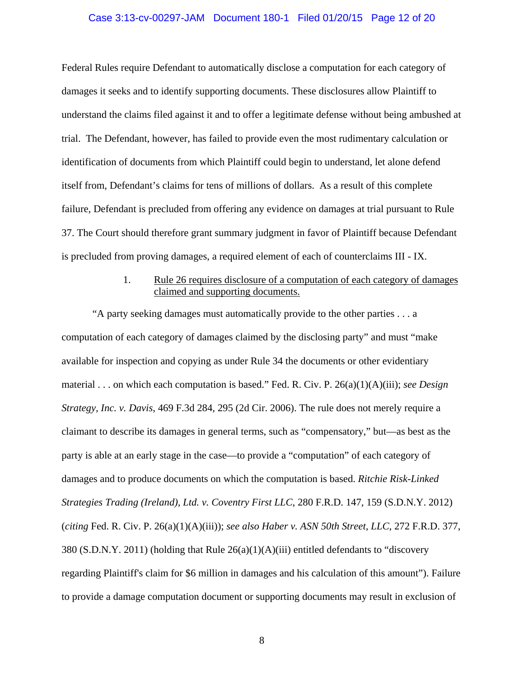#### Case 3:13-cv-00297-JAM Document 180-1 Filed 01/20/15 Page 12 of 20

Federal Rules require Defendant to automatically disclose a computation for each category of damages it seeks and to identify supporting documents. These disclosures allow Plaintiff to understand the claims filed against it and to offer a legitimate defense without being ambushed at trial. The Defendant, however, has failed to provide even the most rudimentary calculation or identification of documents from which Plaintiff could begin to understand, let alone defend itself from, Defendant's claims for tens of millions of dollars. As a result of this complete failure, Defendant is precluded from offering any evidence on damages at trial pursuant to Rule 37. The Court should therefore grant summary judgment in favor of Plaintiff because Defendant is precluded from proving damages, a required element of each of counterclaims III - IX.

## 1. Rule 26 requires disclosure of a computation of each category of damages claimed and supporting documents.

"A party seeking damages must automatically provide to the other parties . . . a computation of each category of damages claimed by the disclosing party" and must "make available for inspection and copying as under Rule 34 the documents or other evidentiary material . . . on which each computation is based." Fed. R. Civ. P. 26(a)(1)(A)(iii); *see Design Strategy, Inc. v. Davis*, 469 F.3d 284, 295 (2d Cir. 2006). The rule does not merely require a claimant to describe its damages in general terms, such as "compensatory," but—as best as the party is able at an early stage in the case—to provide a "computation" of each category of damages and to produce documents on which the computation is based. *Ritchie Risk-Linked Strategies Trading (Ireland), Ltd. v. Coventry First LLC*, 280 F.R.D. 147, 159 (S.D.N.Y. 2012) (*citing* Fed. R. Civ. P. 26(a)(1)(A)(iii)); *see also Haber v. ASN 50th Street, LLC*, 272 F.R.D. 377, 380 (S.D.N.Y. 2011) (holding that Rule 26(a)(1)(A)(iii) entitled defendants to "discovery regarding Plaintiff's claim for \$6 million in damages and his calculation of this amount"). Failure to provide a damage computation document or supporting documents may result in exclusion of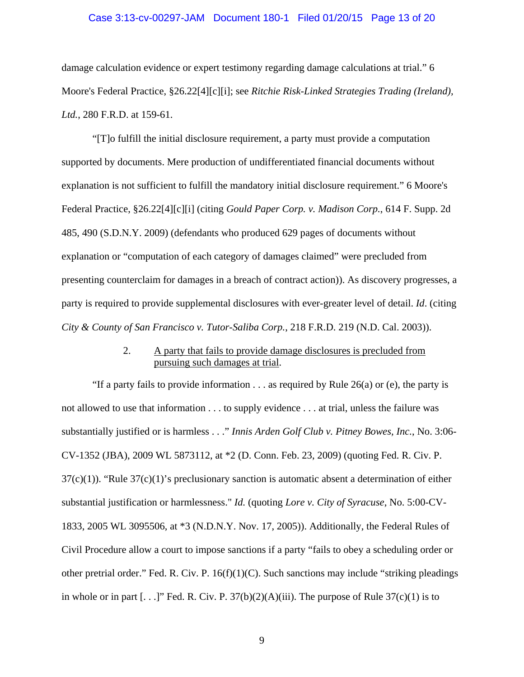#### Case 3:13-cv-00297-JAM Document 180-1 Filed 01/20/15 Page 13 of 20

damage calculation evidence or expert testimony regarding damage calculations at trial." 6 Moore's Federal Practice, §26.22[4][c][i]; see *Ritchie Risk-Linked Strategies Trading (Ireland), Ltd.*, 280 F.R.D. at 159-61.

"[T]o fulfill the initial disclosure requirement, a party must provide a computation supported by documents. Mere production of undifferentiated financial documents without explanation is not sufficient to fulfill the mandatory initial disclosure requirement." 6 Moore's Federal Practice, §26.22[4][c][i] (citing *Gould Paper Corp. v. Madison Corp.*, 614 F. Supp. 2d 485, 490 (S.D.N.Y. 2009) (defendants who produced 629 pages of documents without explanation or "computation of each category of damages claimed" were precluded from presenting counterclaim for damages in a breach of contract action)). As discovery progresses, a party is required to provide supplemental disclosures with ever-greater level of detail. *Id*. (citing *City & County of San Francisco v. Tutor-Saliba Corp.*, 218 F.R.D. 219 (N.D. Cal. 2003)).

## 2. A party that fails to provide damage disclosures is precluded from pursuing such damages at trial.

"If a party fails to provide information  $\dots$  as required by Rule 26(a) or (e), the party is not allowed to use that information . . . to supply evidence . . . at trial, unless the failure was substantially justified or is harmless . . ." *Innis Arden Golf Club v. Pitney Bowes, Inc.*, No. 3:06- CV-1352 (JBA), 2009 WL 5873112, at \*2 (D. Conn. Feb. 23, 2009) (quoting Fed. R. Civ. P.  $37(c)(1)$ . "Rule  $37(c)(1)$ 's preclusionary sanction is automatic absent a determination of either substantial justification or harmlessness." *Id.* (quoting *Lore v. City of Syracuse*, No. 5:00-CV-1833, 2005 WL 3095506, at \*3 (N.D.N.Y. Nov. 17, 2005)). Additionally, the Federal Rules of Civil Procedure allow a court to impose sanctions if a party "fails to obey a scheduling order or other pretrial order." Fed. R. Civ. P. 16(f)(1)(C). Such sanctions may include "striking pleadings in whole or in part  $[...]$ " Fed. R. Civ. P. 37(b)(2)(A)(iii). The purpose of Rule 37(c)(1) is to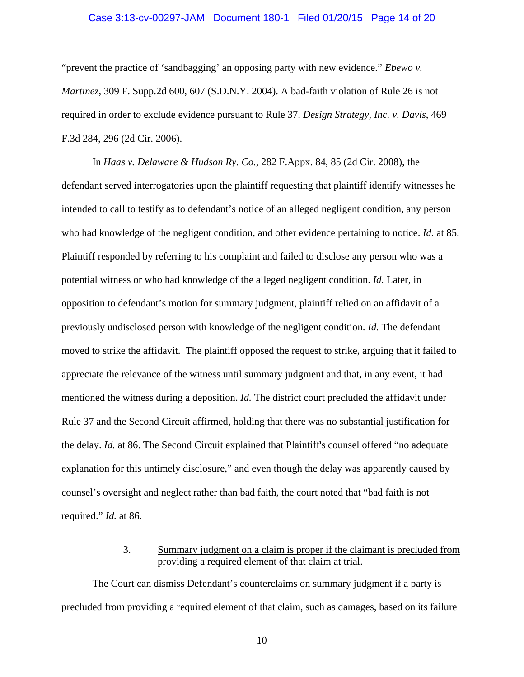#### Case 3:13-cv-00297-JAM Document 180-1 Filed 01/20/15 Page 14 of 20

"prevent the practice of 'sandbagging' an opposing party with new evidence." *Ebewo v. Martinez*, 309 F. Supp.2d 600, 607 (S.D.N.Y. 2004). A bad-faith violation of Rule 26 is not required in order to exclude evidence pursuant to Rule 37. *Design Strategy, Inc. v. Davis*, 469 F.3d 284, 296 (2d Cir. 2006).

In *Haas v. Delaware & Hudson Ry. Co.*, 282 F.Appx. 84, 85 (2d Cir. 2008), the defendant served interrogatories upon the plaintiff requesting that plaintiff identify witnesses he intended to call to testify as to defendant's notice of an alleged negligent condition, any person who had knowledge of the negligent condition, and other evidence pertaining to notice. *Id.* at 85. Plaintiff responded by referring to his complaint and failed to disclose any person who was a potential witness or who had knowledge of the alleged negligent condition. *Id.* Later, in opposition to defendant's motion for summary judgment, plaintiff relied on an affidavit of a previously undisclosed person with knowledge of the negligent condition. *Id.* The defendant moved to strike the affidavit. The plaintiff opposed the request to strike, arguing that it failed to appreciate the relevance of the witness until summary judgment and that, in any event, it had mentioned the witness during a deposition. *Id.* The district court precluded the affidavit under Rule 37 and the Second Circuit affirmed, holding that there was no substantial justification for the delay. *Id.* at 86. The Second Circuit explained that Plaintiff's counsel offered "no adequate explanation for this untimely disclosure," and even though the delay was apparently caused by counsel's oversight and neglect rather than bad faith, the court noted that "bad faith is not required." *Id.* at 86.

## 3. Summary judgment on a claim is proper if the claimant is precluded from providing a required element of that claim at trial.

The Court can dismiss Defendant's counterclaims on summary judgment if a party is precluded from providing a required element of that claim, such as damages, based on its failure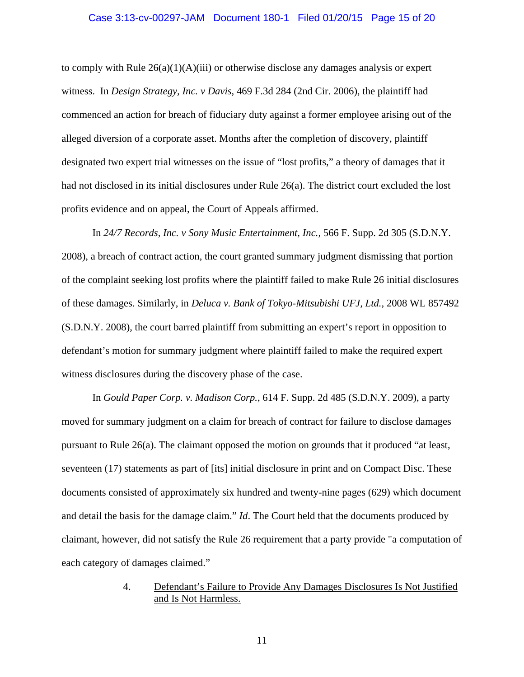#### Case 3:13-cv-00297-JAM Document 180-1 Filed 01/20/15 Page 15 of 20

to comply with Rule  $26(a)(1)(A)(iii)$  or otherwise disclose any damages analysis or expert witness. In *Design Strategy, Inc. v Davis*, 469 F.3d 284 (2nd Cir. 2006), the plaintiff had commenced an action for breach of fiduciary duty against a former employee arising out of the alleged diversion of a corporate asset. Months after the completion of discovery, plaintiff designated two expert trial witnesses on the issue of "lost profits," a theory of damages that it had not disclosed in its initial disclosures under Rule 26(a). The district court excluded the lost profits evidence and on appeal, the Court of Appeals affirmed.

In *24/7 Records, Inc. v Sony Music Entertainment, Inc.,* 566 F. Supp. 2d 305 (S.D.N.Y. 2008), a breach of contract action, the court granted summary judgment dismissing that portion of the complaint seeking lost profits where the plaintiff failed to make Rule 26 initial disclosures of these damages. Similarly, in *Deluca v. Bank of Tokyo-Mitsubishi UFJ, Ltd.,* 2008 WL 857492 (S.D.N.Y. 2008), the court barred plaintiff from submitting an expert's report in opposition to defendant's motion for summary judgment where plaintiff failed to make the required expert witness disclosures during the discovery phase of the case.

In *Gould Paper Corp. v. Madison Corp.*, 614 F. Supp. 2d 485 (S.D.N.Y. 2009), a party moved for summary judgment on a claim for breach of contract for failure to disclose damages pursuant to Rule 26(a). The claimant opposed the motion on grounds that it produced "at least, seventeen (17) statements as part of [its] initial disclosure in print and on Compact Disc. These documents consisted of approximately six hundred and twenty-nine pages (629) which document and detail the basis for the damage claim." *Id*. The Court held that the documents produced by claimant, however, did not satisfy the Rule 26 requirement that a party provide "a computation of each category of damages claimed."

## 4. Defendant's Failure to Provide Any Damages Disclosures Is Not Justified and Is Not Harmless.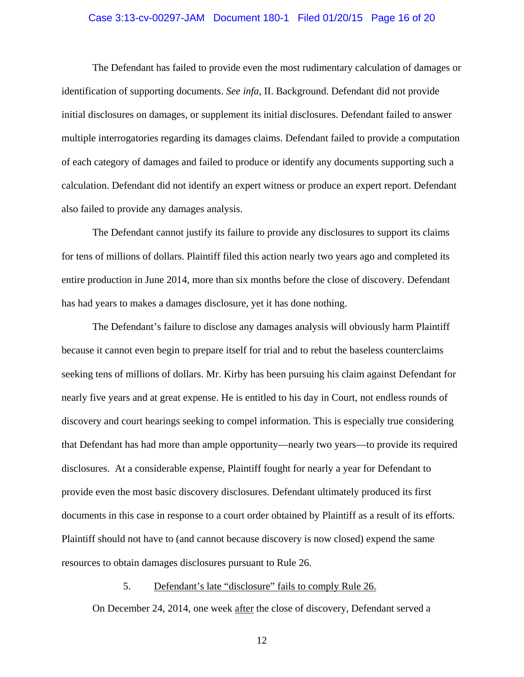### Case 3:13-cv-00297-JAM Document 180-1 Filed 01/20/15 Page 16 of 20

The Defendant has failed to provide even the most rudimentary calculation of damages or identification of supporting documents. *See infa*, II. Background. Defendant did not provide initial disclosures on damages, or supplement its initial disclosures. Defendant failed to answer multiple interrogatories regarding its damages claims. Defendant failed to provide a computation of each category of damages and failed to produce or identify any documents supporting such a calculation. Defendant did not identify an expert witness or produce an expert report. Defendant also failed to provide any damages analysis.

 The Defendant cannot justify its failure to provide any disclosures to support its claims for tens of millions of dollars. Plaintiff filed this action nearly two years ago and completed its entire production in June 2014, more than six months before the close of discovery. Defendant has had years to makes a damages disclosure, yet it has done nothing.

 The Defendant's failure to disclose any damages analysis will obviously harm Plaintiff because it cannot even begin to prepare itself for trial and to rebut the baseless counterclaims seeking tens of millions of dollars. Mr. Kirby has been pursuing his claim against Defendant for nearly five years and at great expense. He is entitled to his day in Court, not endless rounds of discovery and court hearings seeking to compel information. This is especially true considering that Defendant has had more than ample opportunity—nearly two years—to provide its required disclosures. At a considerable expense, Plaintiff fought for nearly a year for Defendant to provide even the most basic discovery disclosures. Defendant ultimately produced its first documents in this case in response to a court order obtained by Plaintiff as a result of its efforts. Plaintiff should not have to (and cannot because discovery is now closed) expend the same resources to obtain damages disclosures pursuant to Rule 26.

## 5. Defendant's late "disclosure" fails to comply Rule 26.

On December 24, 2014, one week after the close of discovery, Defendant served a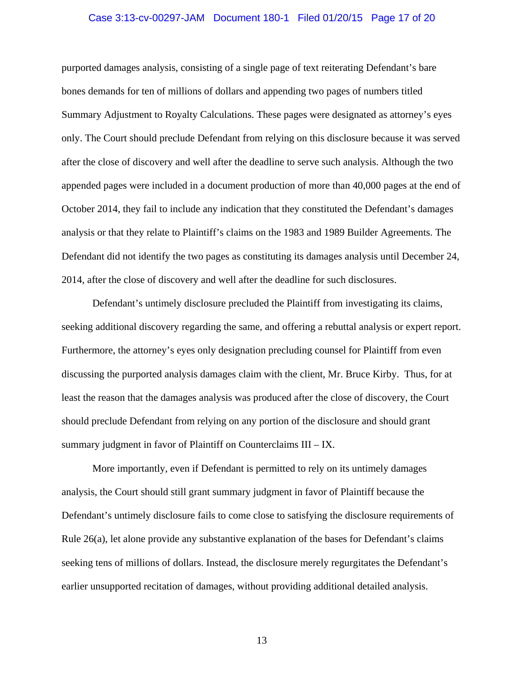#### Case 3:13-cv-00297-JAM Document 180-1 Filed 01/20/15 Page 17 of 20

purported damages analysis, consisting of a single page of text reiterating Defendant's bare bones demands for ten of millions of dollars and appending two pages of numbers titled Summary Adjustment to Royalty Calculations. These pages were designated as attorney's eyes only. The Court should preclude Defendant from relying on this disclosure because it was served after the close of discovery and well after the deadline to serve such analysis. Although the two appended pages were included in a document production of more than 40,000 pages at the end of October 2014, they fail to include any indication that they constituted the Defendant's damages analysis or that they relate to Plaintiff's claims on the 1983 and 1989 Builder Agreements. The Defendant did not identify the two pages as constituting its damages analysis until December 24, 2014, after the close of discovery and well after the deadline for such disclosures.

Defendant's untimely disclosure precluded the Plaintiff from investigating its claims, seeking additional discovery regarding the same, and offering a rebuttal analysis or expert report. Furthermore, the attorney's eyes only designation precluding counsel for Plaintiff from even discussing the purported analysis damages claim with the client, Mr. Bruce Kirby. Thus, for at least the reason that the damages analysis was produced after the close of discovery, the Court should preclude Defendant from relying on any portion of the disclosure and should grant summary judgment in favor of Plaintiff on Counterclaims III – IX.

More importantly, even if Defendant is permitted to rely on its untimely damages analysis, the Court should still grant summary judgment in favor of Plaintiff because the Defendant's untimely disclosure fails to come close to satisfying the disclosure requirements of Rule 26(a), let alone provide any substantive explanation of the bases for Defendant's claims seeking tens of millions of dollars. Instead, the disclosure merely regurgitates the Defendant's earlier unsupported recitation of damages, without providing additional detailed analysis.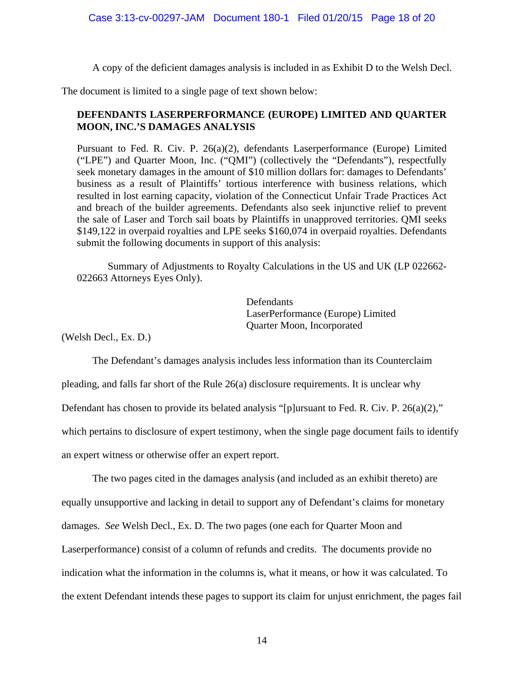A copy of the deficient damages analysis is included in as Exhibit D to the Welsh Decl.

The document is limited to a single page of text shown below:

# **DEFENDANTS LASERPERFORMANCE (EUROPE) LIMITED AND QUARTER MOON, INC.'S DAMAGES ANALYSIS**

Pursuant to Fed. R. Civ. P. 26(a)(2), defendants Laserperformance (Europe) Limited ("LPE") and Quarter Moon, Inc. ("QMI") (collectively the "Defendants"), respectfully seek monetary damages in the amount of \$10 million dollars for: damages to Defendants' business as a result of Plaintiffs' tortious interference with business relations, which resulted in lost earning capacity, violation of the Connecticut Unfair Trade Practices Act and breach of the builder agreements. Defendants also seek injunctive relief to prevent the sale of Laser and Torch sail boats by Plaintiffs in unapproved territories. QMI seeks \$149,122 in overpaid royalties and LPE seeks \$160,074 in overpaid royalties. Defendants submit the following documents in support of this analysis:

Summary of Adjustments to Royalty Calculations in the US and UK (LP 022662- 022663 Attorneys Eyes Only).

> Defendants LaserPerformance (Europe) Limited Quarter Moon, Incorporated

(Welsh Decl., Ex. D.)

 The Defendant's damages analysis includes less information than its Counterclaim pleading, and falls far short of the Rule 26(a) disclosure requirements. It is unclear why Defendant has chosen to provide its belated analysis "[p]ursuant to Fed. R. Civ. P. 26(a)(2)," which pertains to disclosure of expert testimony, when the single page document fails to identify an expert witness or otherwise offer an expert report.

 The two pages cited in the damages analysis (and included as an exhibit thereto) are equally unsupportive and lacking in detail to support any of Defendant's claims for monetary damages. *See* Welsh Decl., Ex. D. The two pages (one each for Quarter Moon and Laserperformance) consist of a column of refunds and credits. The documents provide no indication what the information in the columns is, what it means, or how it was calculated. To the extent Defendant intends these pages to support its claim for unjust enrichment, the pages fail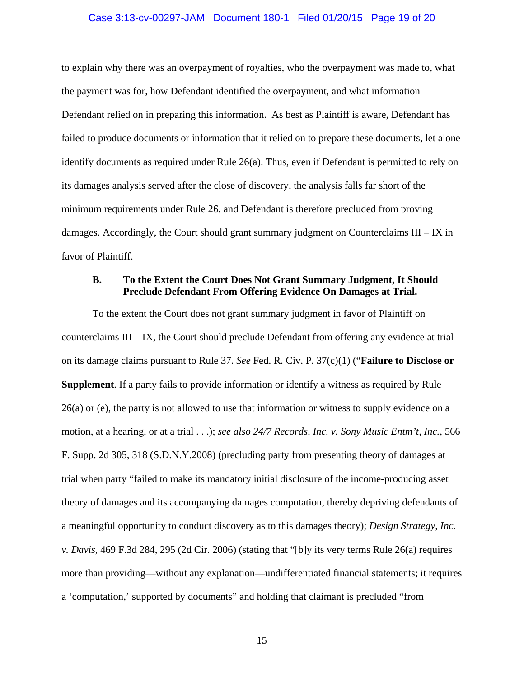#### Case 3:13-cv-00297-JAM Document 180-1 Filed 01/20/15 Page 19 of 20

to explain why there was an overpayment of royalties, who the overpayment was made to, what the payment was for, how Defendant identified the overpayment, and what information Defendant relied on in preparing this information. As best as Plaintiff is aware, Defendant has failed to produce documents or information that it relied on to prepare these documents, let alone identify documents as required under Rule 26(a). Thus, even if Defendant is permitted to rely on its damages analysis served after the close of discovery, the analysis falls far short of the minimum requirements under Rule 26, and Defendant is therefore precluded from proving damages. Accordingly, the Court should grant summary judgment on Counterclaims III – IX in favor of Plaintiff.

## **B. To the Extent the Court Does Not Grant Summary Judgment, It Should Preclude Defendant From Offering Evidence On Damages at Trial.**

To the extent the Court does not grant summary judgment in favor of Plaintiff on counterclaims III – IX, the Court should preclude Defendant from offering any evidence at trial on its damage claims pursuant to Rule 37. *See* Fed. R. Civ. P. 37(c)(1) ("**Failure to Disclose or Supplement**. If a party fails to provide information or identify a witness as required by Rule 26(a) or (e), the party is not allowed to use that information or witness to supply evidence on a motion, at a hearing, or at a trial . . .); *see also 24/7 Records, Inc. v. Sony Music Entm't, Inc.*, 566 F. Supp. 2d 305, 318 (S.D.N.Y.2008) (precluding party from presenting theory of damages at trial when party "failed to make its mandatory initial disclosure of the income-producing asset theory of damages and its accompanying damages computation, thereby depriving defendants of a meaningful opportunity to conduct discovery as to this damages theory); *Design Strategy, Inc. v. Davis*, 469 F.3d 284, 295 (2d Cir. 2006) (stating that "[b]y its very terms Rule 26(a) requires more than providing—without any explanation—undifferentiated financial statements; it requires a 'computation,' supported by documents" and holding that claimant is precluded "from